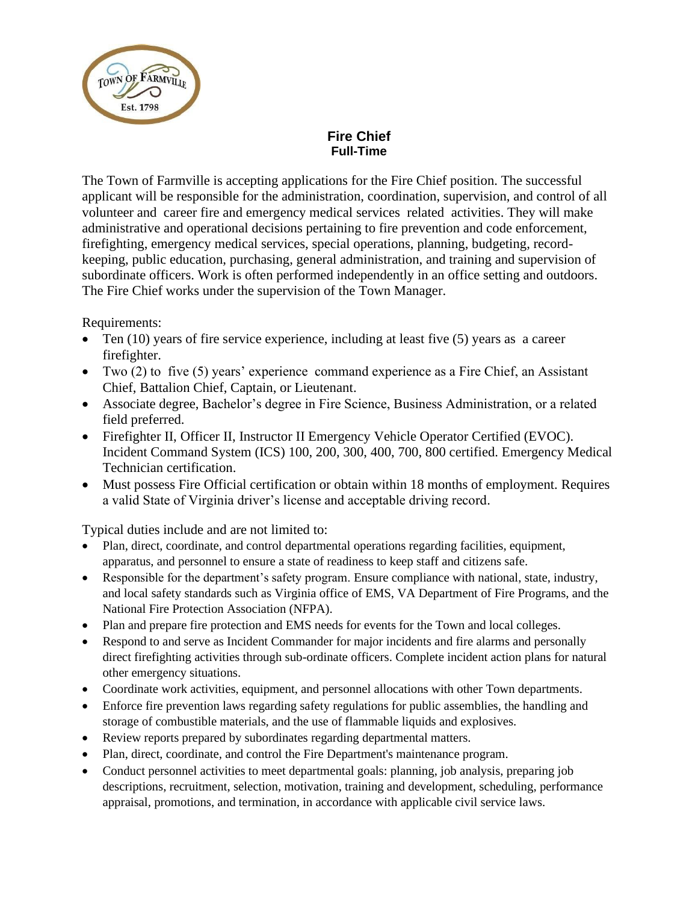

## **Fire Chief Full-Time**

The Town of Farmville is accepting applications for the Fire Chief position. The successful applicant will be responsible for the administration, coordination, supervision, and control of all volunteer and career fire and emergency medical services related activities. They will make administrative and operational decisions pertaining to fire prevention and code enforcement, firefighting, emergency medical services, special operations, planning, budgeting, recordkeeping, public education, purchasing, general administration, and training and supervision of subordinate officers. Work is often performed independently in an office setting and outdoors. The Fire Chief works under the supervision of the Town Manager.

Requirements:

- Ten (10) years of fire service experience, including at least five (5) years as a career firefighter.
- Two (2) to five (5) years' experience command experience as a Fire Chief, an Assistant Chief, Battalion Chief, Captain, or Lieutenant.
- Associate degree, Bachelor's degree in Fire Science, Business Administration, or a related field preferred.
- Firefighter II, Officer II, Instructor II Emergency Vehicle Operator Certified (EVOC). Incident Command System (ICS) 100, 200, 300, 400, 700, 800 certified. Emergency Medical Technician certification.
- Must possess Fire Official certification or obtain within 18 months of employment. Requires a valid State of Virginia driver's license and acceptable driving record.

Typical duties include and are not limited to:

- Plan, direct, coordinate, and control departmental operations regarding facilities, equipment, apparatus, and personnel to ensure a state of readiness to keep staff and citizens safe.
- Responsible for the department's safety program. Ensure compliance with national, state, industry, and local safety standards such as Virginia office of EMS, VA Department of Fire Programs, and the National Fire Protection Association (NFPA).
- Plan and prepare fire protection and EMS needs for events for the Town and local colleges.
- Respond to and serve as Incident Commander for major incidents and fire alarms and personally direct firefighting activities through sub-ordinate officers. Complete incident action plans for natural other emergency situations.
- Coordinate work activities, equipment, and personnel allocations with other Town departments.
- Enforce fire prevention laws regarding safety regulations for public assemblies, the handling and storage of combustible materials, and the use of flammable liquids and explosives.
- Review reports prepared by subordinates regarding departmental matters.
- Plan, direct, coordinate, and control the Fire Department's maintenance program.
- Conduct personnel activities to meet departmental goals: planning, job analysis, preparing job descriptions, recruitment, selection, motivation, training and development, scheduling, performance appraisal, promotions, and termination, in accordance with applicable civil service laws.